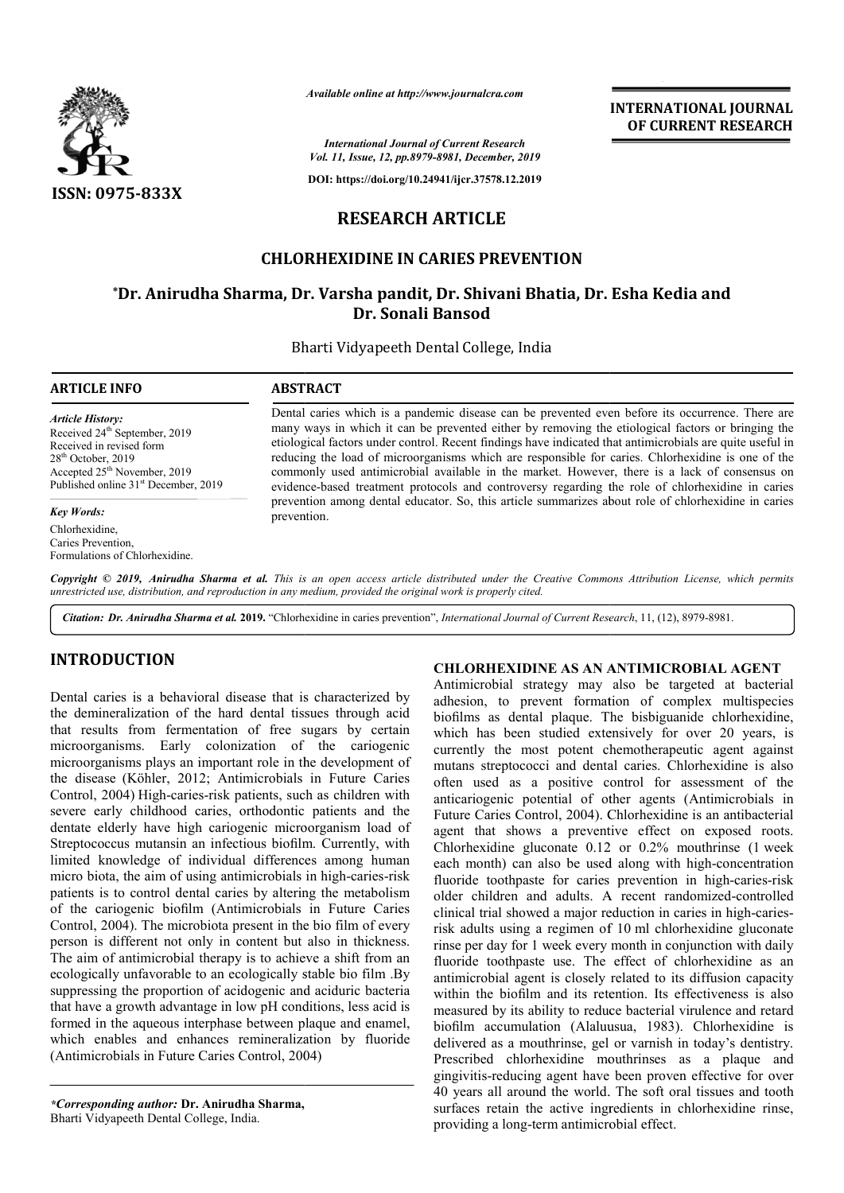

*Available online at http://www.journalcra.com*

*International Journal of Current Research Vol. 11, Issue, 12, pp.8979-8981, December, 2019*

**DOI: https://doi.org/10.24941/ijcr.37578.12.2019**

# **RESEARCH ARTICLE**

# **CHLORHEXIDINE IN CARIES PREVENTION**

# **\*Dr. Anirudha Sharma, Dr. Varsha pandit, Dr. Shivani Bhatia, Dr. Esha Kedia and Dr. Dr. Sonali Bansod**

Bharti Vidyapeeth Dental College, India

#### **ARTICLE INFO ABSTRACT**

*Article History:* Received 24<sup>th</sup> September, 2019 Received in revised form 28<sup>th</sup> October, 2019 Accepted 25<sup>th</sup> November, 2019 Published online 31<sup>st</sup> December, 2019

#### *Key Words:*

Chlorhexidine, Caries Prevention, Formulations of Chlorhexidine.

Dental caries which is a pandemic disease can be prevented even before its occurrence. There are many ways in which it can be prevented either by removing the etiological factors or bringing the etiological factors under control. Recent findings have indicated that antimicrobials are quite useful in reducing the load of microorganisms which are responsible for caries. Chlorhexidine is one of the commonly used antimicrobial available in the market. However, there is a lack of con evidence-based treatment protocols and controversy regarding the role of chlorhexidine in caries evidence-based treatment protocols and controversy regarding the role of chlorhexidine in caries prevention among dental educator. So, this article summarizes about role of chlorhexidine in caries prevention. Dental caries which is a pandemic disease can be prevented even before its occurrence. There are many ways in which it can be prevented either by removing the etiological factors or bringing the etiological factors under c

**Copyright © 2019, Anirudha Sharma et al.** This is an open access article distributed under the Creative Commons Attribution License, which permits *unrestricted use, distribution, and reproduction in any medium, provided the original work is properly cited.*

Citation: Dr. Anirudha Sharma et al. 2019. "Chlorhexidine in caries prevention", International Journal of Current Research, 11, (12), 8979-8981.

# **INTRODUCTION**

Dental caries is a behavioral disease that is characterized by the demineralization of the hard dental tissues through acid that results from fermentation of free sugars by certain microorganisms. Early colonization of the cariogenic microorganisms plays an important role in the development of the disease (Köhler, 2012; Antimicrobials in Future Caries Control, 2004) High-caries-risk patients, such as children with severe early childhood caries, orthodontic patients and the dentate elderly have high cariogenic microorganism load of Streptococcus mutansin an infectious biofilm. Currently, with limited knowledge of individual differences among human micro biota, the aim of using antimicrobials in high-caries-risk patients is to control dental caries by altering the metabolism of the cariogenic biofilm (Antimicrobials in Future Caries Control, 2004). The microbiota present in the bio film of every person is different not only in content but also in thickness. The aim of antimicrobial therapy is to achieve a shift from an ecologically unfavorable to an ecologically stable bio film .By suppressing the proportion of acidogenic and aciduric bacteria that have a growth advantage in low pH conditions, less acid is formed in the aqueous interphase between plaque and enamel, which enables and enhances remineralization by fluoride<br>(Antimicrobials in Future Caries Control, 2004) (Antimicrobials in Future Caries Control, 2004 risk patients, such as children with<br>ries, orthodontic patients and the<br>cariogenic microorganism load of<br>infectious biofilm. Currently, with<br>ividual differences among human<br>g antimicrobials in high-caries-risk

*\*Corresponding author:* **Dr. Anirudha Sharma,** Bharti Vidyapeeth Dental College, India.

### **CHLORHEXIDINE AS AN ANTIMICROBIAL AGENT**

Antimicrobial strategy may also be targeted at bacterial adhesion, to prevent formation of complex multispecies biofilms as dental plaque. The bisbiguanide chlorhexidine, which has been studied extensively for over 20 years, is currently the most potent chemotherapeutic agent against mutans streptococci and dental caries. Chlorhexidine is also often used as a positive control for assessment of the often used as a positive control for assessment of the anticariogenic potential of other agents (Antimicrobials in Future Caries Control, 2004). Chlorhexidine is an antibacterial agent that shows a preventive effect on exposed roots. Chlorhexidine gluconate  $0.12$  or  $0.2\%$  mouthrinse (1 week each month) can also be used along with high-concentration fluoride toothpaste for caries prevention in high-caries-risk older children and adults. A recent randomized-controlled clinical trial showed a major reduction in caries in high-cariesrisk adults using a regimen of 10 ml chlorhexidine gluconate rinse per day for 1 week every month in conjunction with daily fluoride toothpaste use. The effect of chlorhexidine as an antimicrobial agent is closely related to its diffusion capacity within the biofilm and its retention. Its effectiveness is also measured by its ability to reduce bacterial virulence and retard biofilm accumulation (Alaluusua, 1983). Chlorhexidine is delivered as a mouthrinse, gel or varnish in today's dentistry. Prescribed chlorhexidine mouthrinses as a plaque and gingivitis-reducing agent have been proven effective for over delivered as a mouthrinse, gel or varnish in today's dentistry.<br>Prescribed chlorhexidine mouthrinses as a plaque and<br>gingivitis-reducing agent have been proven effective for over<br>40 years all around the world. The soft ora surfaces retain the active ingredients in chlorhexidine rinse, surfaces retain the active ingredients in providing a long-term antimicrobial effect. Antimicrobial strategy may also be targeted at bacterial adhesion, to prevent formation of complex multispecies biofilms as dental plaque. The bisbiguanide chlorhexidine, which has been studied extensively for over 20 year or 1 week every month in conjunction with daily paste use. The effect of chlorhexidine as an agent is closely related to its diffusion capacity film and its retention. Its effectiveness is also s ability to reduce bacteria

# **INTERNATIONAL JOURNAL OF CURRENT RESEARCH**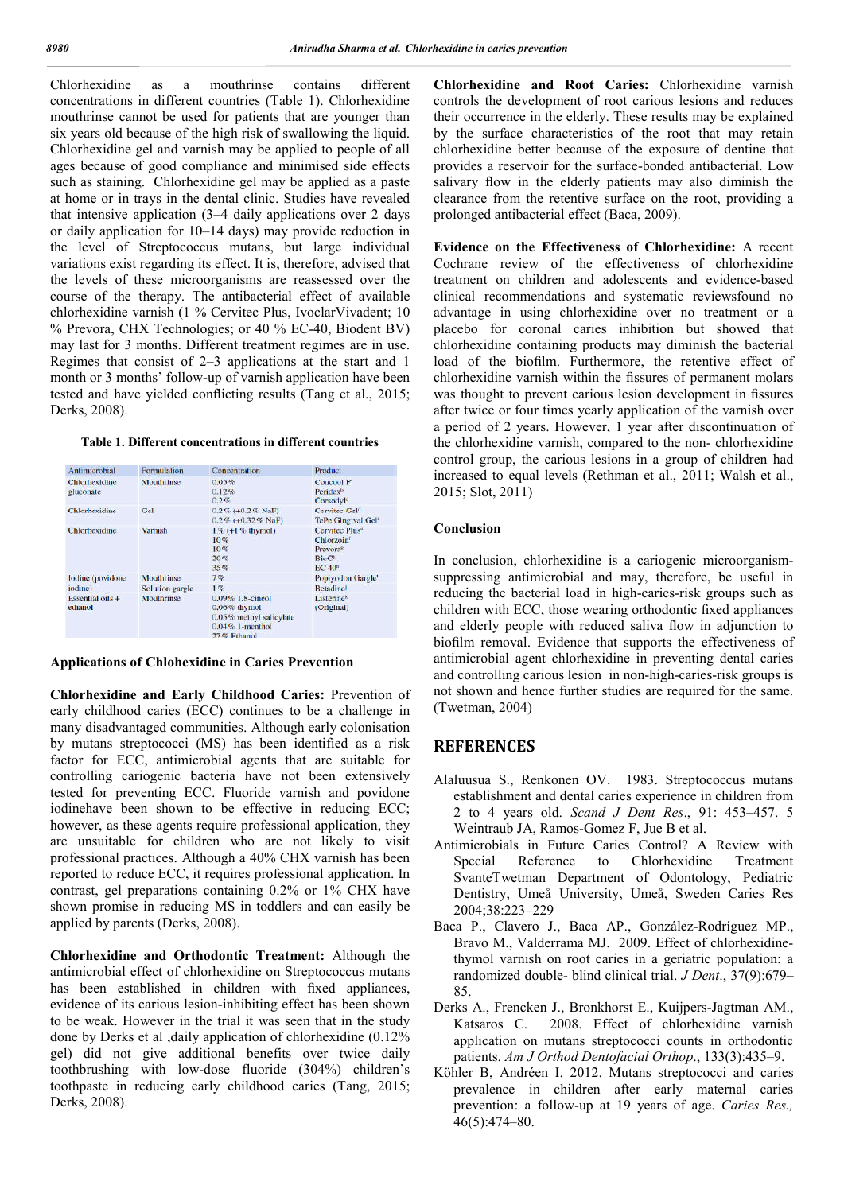Chlorhexidine as a mouthrinse contains different concentrations in different countries (Table 1). Chlorhexidine mouthrinse cannot be used for patients that are younger than six years old because of the high risk of swallowing the liquid. Chlorhexidine gel and varnish may be applied to people of all ages because of good compliance and minimised side effects such as staining. Chlorhexidine gel may be applied as a paste at home or in trays in the dental clinic. Studies have revealed that intensive application (3–4 daily applications over 2 days or daily application for 10–14 days) may provide reduction in the level of Streptococcus mutans, but large individual variations exist regarding its effect. It is, therefore, advised that the levels of these microorganisms are reassessed over the course of the therapy. The antibacterial effect of available chlorhexidine varnish (1 % Cervitec Plus, IvoclarVivadent; 10 % Prevora, CHX Technologies; or 40 % EC-40, Biodent BV) may last for 3 months. Different treatment regimes are in use. Regimes that consist of 2–3 applications at the start and 1 month or 3 months' follow-up of varnish application have been tested and have yielded conflicting results (Tang et al., 2015; Derks, 2008).

| Table 1. Different concentrations in different countries |  |
|----------------------------------------------------------|--|
|----------------------------------------------------------|--|

| Antimicrobial                       | Formulation                   | Concentration                                                                                          | Product                                                                                                                       |
|-------------------------------------|-------------------------------|--------------------------------------------------------------------------------------------------------|-------------------------------------------------------------------------------------------------------------------------------|
| <b>Chlorhexidine</b><br>gluconate   | Mouthrinse                    | 0.05%<br>0.12%<br>0.2%                                                                                 | Concool F <sup>®</sup><br>Peridex <sup>b</sup><br>Corsodyl <sup>o</sup>                                                       |
| Chlorhexidine                       | Gel                           | $0.2\%$ (+0.2% NaF)<br>$0.2\%$ (+0.32% NaF)                                                            | Cervitec Gel <sup>d</sup><br>TePe Gingival Gel*                                                                               |
| Chlorhexidine                       | <b>Varnish</b>                | $1\%$ (+1 % thymol)<br>10%<br>10%<br>20%<br>35%                                                        | Cervitec Plus <sup>4</sup><br>Chlorzoin <sup>t</sup><br>Prevora <sup>g</sup><br>BioC <sup>1</sup><br><b>EC 40<sup>b</sup></b> |
| lodine (povidone<br><i>iodine</i> ) | Mouthrinse<br>Solution gargle | 7%<br>$1\%$                                                                                            | Popiyodon Gargle <sup>®</sup><br><b>Retadinel</b>                                                                             |
| Essential oils $+$<br>ethanol       | Mouthrinse                    | $0.09\%$ 1.8-cineol<br>$0.06\%$ thymol<br>0.05% methyl salicylate<br>$0.04\%$ 1-menthol<br>27% Ethanol | Listerine <sup>k</sup><br>(Original)                                                                                          |

#### **Applications of Chlohexidine in Caries Prevention**

**Chlorhexidine and Early Childhood Caries:** Prevention of early childhood caries (ECC) continues to be a challenge in many disadvantaged communities. Although early colonisation by mutans streptococci (MS) has been identified as a risk factor for ECC, antimicrobial agents that are suitable for controlling cariogenic bacteria have not been extensively tested for preventing ECC. Fluoride varnish and povidone iodinehave been shown to be effective in reducing ECC; however, as these agents require professional application, they are unsuitable for children who are not likely to visit professional practices. Although a 40% CHX varnish has been reported to reduce ECC, it requires professional application. In contrast, gel preparations containing 0.2% or 1% CHX have shown promise in reducing MS in toddlers and can easily be applied by parents (Derks, 2008).

**Chlorhexidine and Orthodontic Treatment:** Although the antimicrobial effect of chlorhexidine on Streptococcus mutans has been established in children with fixed appliances, evidence of its carious lesion-inhibiting effect has been shown to be weak. However in the trial it was seen that in the study done by Derks et al ,daily application of chlorhexidine (0.12% gel) did not give additional benefits over twice daily toothbrushing with low-dose fluoride (304%) children's toothpaste in reducing early childhood caries (Tang, 2015; Derks, 2008).

**Chlorhexidine and Root Caries:** Chlorhexidine varnish controls the development of root carious lesions and reduces their occurrence in the elderly. These results may be explained by the surface characteristics of the root that may retain chlorhexidine better because of the exposure of dentine that provides a reservoir for the surface-bonded antibacterial. Low salivary flow in the elderly patients may also diminish the clearance from the retentive surface on the root, providing a prolonged antibacterial effect (Baca, 2009).

**Evidence on the Effectiveness of Chlorhexidine:** A recent Cochrane review of the effectiveness of chlorhexidine treatment on children and adolescents and evidence-based clinical recommendations and systematic reviewsfound no advantage in using chlorhexidine over no treatment or a placebo for coronal caries inhibition but showed that chlorhexidine containing products may diminish the bacterial load of the biofilm. Furthermore, the retentive effect of chlorhexidine varnish within the fissures of permanent molars was thought to prevent carious lesion development in fissures after twice or four times yearly application of the varnish over a period of 2 years. However, 1 year after discontinuation of the chlorhexidine varnish, compared to the non- chlorhexidine control group, the carious lesions in a group of children had increased to equal levels (Rethman et al., 2011; Walsh et al., 2015; Slot, 2011)

### **Conclusion**

In conclusion, chlorhexidine is a cariogenic microorganismsuppressing antimicrobial and may, therefore, be useful in reducing the bacterial load in high-caries-risk groups such as children with ECC, those wearing orthodontic fixed appliances and elderly people with reduced saliva flow in adjunction to biofilm removal. Evidence that supports the effectiveness of antimicrobial agent chlorhexidine in preventing dental caries and controlling carious lesion in non-high-caries-risk groups is not shown and hence further studies are required for the same. (Twetman, 2004)

# **REFERENCES**

- Alaluusua S., Renkonen OV. 1983. Streptococcus mutans establishment and dental caries experience in children from 2 to 4 years old. *Scand J Dent Res*., 91: 453–457. 5 Weintraub JA, Ramos-Gomez F, Jue B et al.
- Antimicrobials in Future Caries Control? A Review with Special Reference to Chlorhexidine Treatment SvanteTwetman Department of Odontology, Pediatric Dentistry, Umeå University, Umeå, Sweden Caries Res 2004;38:223–229
- Baca P., Clavero J., Baca AP., González-Rodríguez MP., Bravo M., Valderrama MJ. 2009. Effect of chlorhexidinethymol varnish on root caries in a geriatric population: a randomized double- blind clinical trial. *J Dent*., 37(9):679– 85.
- Derks A., Frencken J., Bronkhorst E., Kuijpers-Jagtman AM., 2008. Effect of chlorhexidine varnish application on mutans streptococci counts in orthodontic patients. *Am J Orthod Dentofacial Orthop*., 133(3):435–9.
- Köhler B, Andréen I. 2012. Mutans streptococci and caries prevalence in children after early maternal caries prevention: a follow-up at 19 years of age. *Caries Res.,* 46(5):474–80.